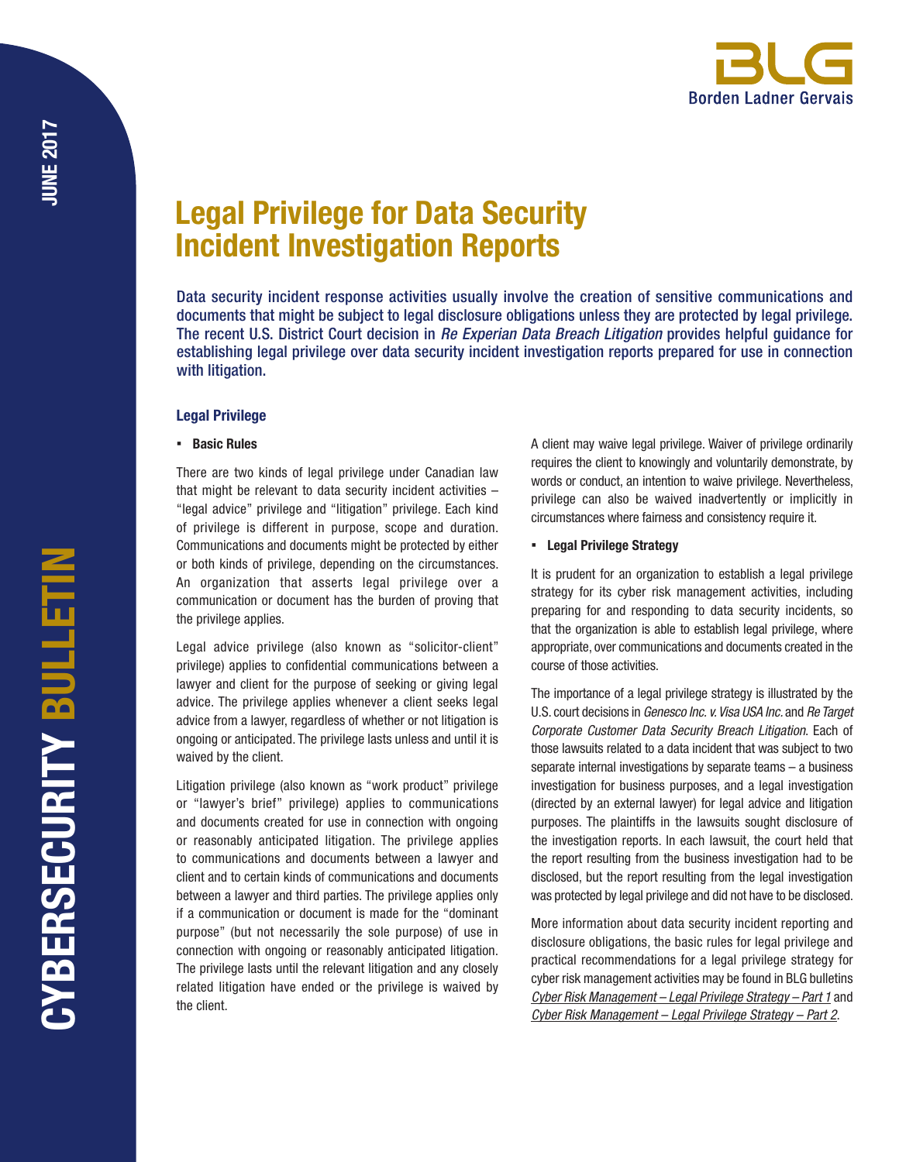# Legal Privilege for Data Security Incident Investigation Reports

Data security incident response activities usually involve the creation of sensitive communications and documents that might be subject to legal disclosure obligations unless they are protected by legal privilege. The recent U.S. District Court decision in *Re Experian Data Breach Litigation* provides helpful guidance for establishing legal privilege over data security incident investigation reports prepared for use in connection with litigation.

## Legal Privilege

### ▪ Basic Rules

There are two kinds of legal privilege under Canadian law that might be relevant to data security incident activities – "legal advice" privilege and "litigation" privilege. Each kind of privilege is different in purpose, scope and duration. Communications and documents might be protected by either or both kinds of privilege, depending on the circumstances. An organization that asserts legal privilege over a communication or document has the burden of proving that the privilege applies.

Legal advice privilege (also known as "solicitor-client" privilege) applies to confidential communications between a lawyer and client for the purpose of seeking or giving legal advice. The privilege applies whenever a client seeks legal advice from a lawyer, regardless of whether or not litigation is ongoing or anticipated. The privilege lasts unless and until it is waived by the client.

Litigation privilege (also known as "work product" privilege or "lawyer's brief" privilege) applies to communications and documents created for use in connection with ongoing or reasonably anticipated litigation. The privilege applies to communications and documents between a lawyer and client and to certain kinds of communications and documents between a lawyer and third parties. The privilege applies only if a communication or document is made for the "dominant purpose" (but not necessarily the sole purpose) of use in connection with ongoing or reasonably anticipated litigation. The privilege lasts until the relevant litigation and any closely related litigation have ended or the privilege is waived by the client.

A client may waive legal privilege. Waiver of privilege ordinarily requires the client to knowingly and voluntarily demonstrate, by words or conduct, an intention to waive privilege. Nevertheless, privilege can also be waived inadvertently or implicitly in circumstances where fairness and consistency require it.

## ▪ Legal Privilege Strategy

It is prudent for an organization to establish a legal privilege strategy for its cyber risk management activities, including preparing for and responding to data security incidents, so that the organization is able to establish legal privilege, where appropriate, over communications and documents created in the course of those activities.

The importance of a legal privilege strategy is illustrated by the U.S. court decisions in *Genesco Inc. v. Visa USA Inc.* and *Re Target Corporate Customer Data Security Breach Litigation*. Each of those lawsuits related to a data incident that was subject to two separate internal investigations by separate teams – a business investigation for business purposes, and a legal investigation (directed by an external lawyer) for legal advice and litigation purposes. The plaintiffs in the lawsuits sought disclosure of the investigation reports. In each lawsuit, the court held that the report resulting from the business investigation had to be disclosed, but the report resulting from the legal investigation was protected by legal privilege and did not have to be disclosed.

More information about data security incident reporting and disclosure obligations, the basic rules for legal privilege and practical recommendations for a legal privilege strategy for cyber risk management activities may be found in BLG bulletins *[Cyber Risk Management – Legal Privilege Strategy – Part 1](http://blg.com/en/News-And-Publications/Documents/Publication_4602_1033.pdf)* and *[Cyber Risk Management – Legal Privilege Strategy – Part 2](http://blg.com/en/News-And-Publications/Documents/Publication_4603_1033.pdf)*.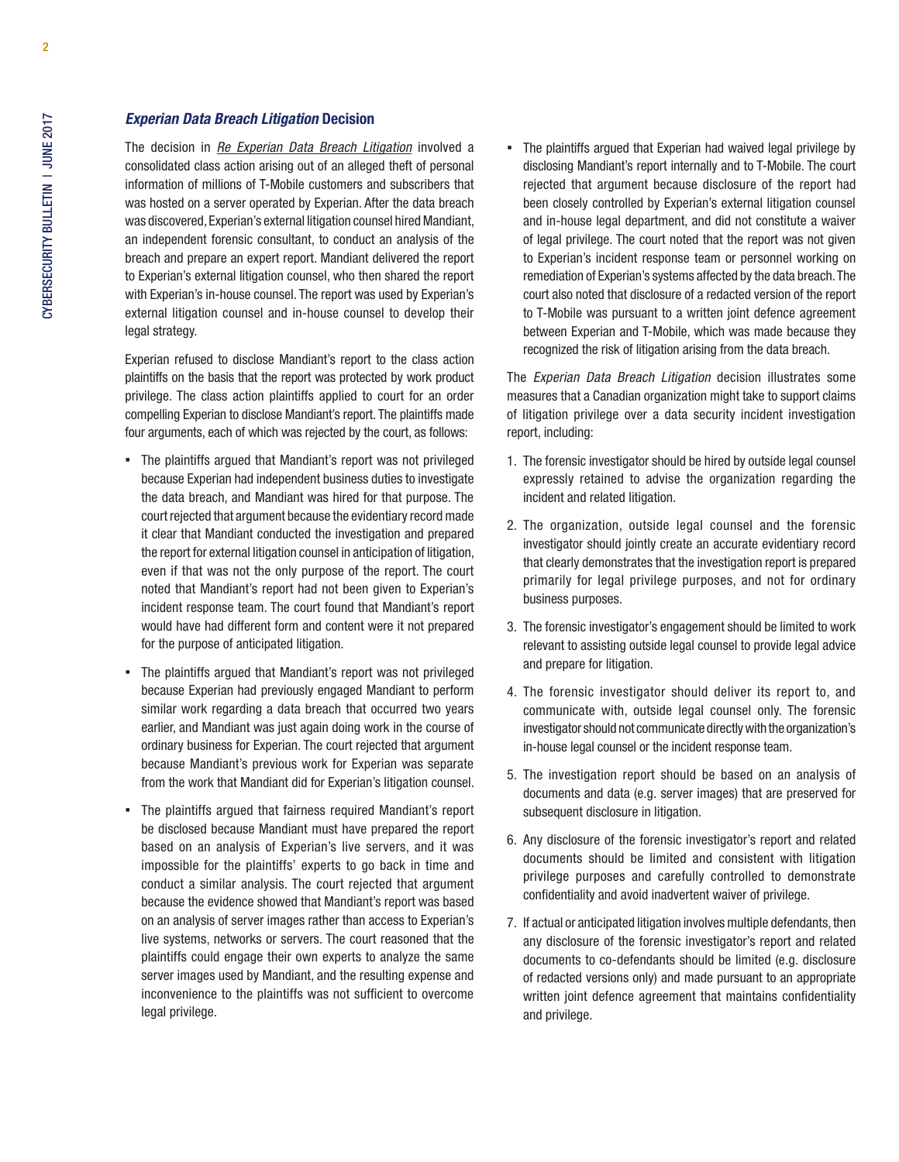#### *Experian Data Breach Litigation* Decision

The decision in *[Re Experian Data Breach Litigation](http://www.datasecuritylawjournal.com/files/2017/05/Experian-Order-Denying-Plaintiffs-Motion-to-Compel.pdf)* involved a consolidated class action arising out of an alleged theft of personal information of millions of T-Mobile customers and subscribers that was hosted on a server operated by Experian. After the data breach was discovered, Experian's external litigation counsel hired Mandiant, an independent forensic consultant, to conduct an analysis of the breach and prepare an expert report. Mandiant delivered the report to Experian's external litigation counsel, who then shared the report with Experian's in-house counsel. The report was used by Experian's external litigation counsel and in-house counsel to develop their legal strategy.

Experian refused to disclose Mandiant's report to the class action plaintiffs on the basis that the report was protected by work product privilege. The class action plaintiffs applied to court for an order compelling Experian to disclose Mandiant's report. The plaintiffs made four arguments, each of which was rejected by the court, as follows:

- The plaintiffs argued that Mandiant's report was not privileged because Experian had independent business duties to investigate the data breach, and Mandiant was hired for that purpose. The court rejected that argument because the evidentiary record made it clear that Mandiant conducted the investigation and prepared the report for external litigation counsel in anticipation of litigation, even if that was not the only purpose of the report. The court noted that Mandiant's report had not been given to Experian's incident response team. The court found that Mandiant's report would have had different form and content were it not prepared for the purpose of anticipated litigation.
- The plaintiffs argued that Mandiant's report was not privileged because Experian had previously engaged Mandiant to perform similar work regarding a data breach that occurred two years earlier, and Mandiant was just again doing work in the course of ordinary business for Experian. The court rejected that argument because Mandiant's previous work for Experian was separate from the work that Mandiant did for Experian's litigation counsel.
- The plaintiffs argued that fairness required Mandiant's report be disclosed because Mandiant must have prepared the report based on an analysis of Experian's live servers, and it was impossible for the plaintiffs' experts to go back in time and conduct a similar analysis. The court rejected that argument because the evidence showed that Mandiant's report was based on an analysis of server images rather than access to Experian's live systems, networks or servers. The court reasoned that the plaintiffs could engage their own experts to analyze the same server images used by Mandiant, and the resulting expense and inconvenience to the plaintiffs was not sufficient to overcome legal privilege.

• The plaintiffs argued that Experian had waived legal privilege by disclosing Mandiant's report internally and to T-Mobile. The court rejected that argument because disclosure of the report had been closely controlled by Experian's external litigation counsel and in-house legal department, and did not constitute a waiver of legal privilege. The court noted that the report was not given to Experian's incident response team or personnel working on remediation of Experian's systems affected by the data breach. The court also noted that disclosure of a redacted version of the report to T-Mobile was pursuant to a written joint defence agreement between Experian and T-Mobile, which was made because they recognized the risk of litigation arising from the data breach.

The *Experian Data Breach Litigation* decision illustrates some measures that a Canadian organization might take to support claims of litigation privilege over a data security incident investigation report, including:

- 1. The forensic investigator should be hired by outside legal counsel expressly retained to advise the organization regarding the incident and related litigation.
- 2. The organization, outside legal counsel and the forensic investigator should jointly create an accurate evidentiary record that clearly demonstrates that the investigation report is prepared primarily for legal privilege purposes, and not for ordinary business purposes.
- 3. The forensic investigator's engagement should be limited to work relevant to assisting outside legal counsel to provide legal advice and prepare for litigation.
- 4. The forensic investigator should deliver its report to, and communicate with, outside legal counsel only. The forensic investigator should not communicate directly with the organization's in-house legal counsel or the incident response team.
- 5. The investigation report should be based on an analysis of documents and data (e.g. server images) that are preserved for subsequent disclosure in litigation.
- 6. Any disclosure of the forensic investigator's report and related documents should be limited and consistent with litigation privilege purposes and carefully controlled to demonstrate confidentiality and avoid inadvertent waiver of privilege.
- 7. If actual or anticipated litigation involves multiple defendants, then any disclosure of the forensic investigator's report and related documents to co-defendants should be limited (e.g. disclosure of redacted versions only) and made pursuant to an appropriate written joint defence agreement that maintains confidentiality and privilege.